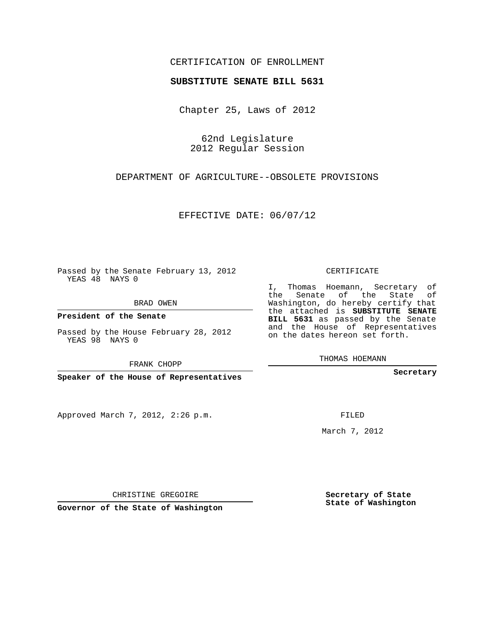## CERTIFICATION OF ENROLLMENT

### **SUBSTITUTE SENATE BILL 5631**

Chapter 25, Laws of 2012

62nd Legislature 2012 Regular Session

DEPARTMENT OF AGRICULTURE--OBSOLETE PROVISIONS

EFFECTIVE DATE: 06/07/12

Passed by the Senate February 13, 2012 YEAS 48 NAYS 0

BRAD OWEN

**President of the Senate**

Passed by the House February 28, 2012 YEAS 98 NAYS 0

FRANK CHOPP

**Speaker of the House of Representatives**

Approved March 7, 2012, 2:26 p.m.

CERTIFICATE

I, Thomas Hoemann, Secretary of the Senate of the State of Washington, do hereby certify that the attached is **SUBSTITUTE SENATE BILL 5631** as passed by the Senate and the House of Representatives on the dates hereon set forth.

THOMAS HOEMANN

**Secretary**

FILED

March 7, 2012

**Secretary of State State of Washington**

**Governor of the State of Washington**

CHRISTINE GREGOIRE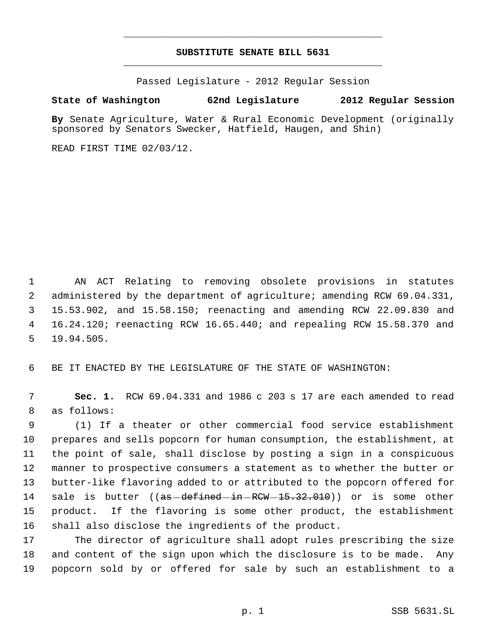# **SUBSTITUTE SENATE BILL 5631** \_\_\_\_\_\_\_\_\_\_\_\_\_\_\_\_\_\_\_\_\_\_\_\_\_\_\_\_\_\_\_\_\_\_\_\_\_\_\_\_\_\_\_\_\_

\_\_\_\_\_\_\_\_\_\_\_\_\_\_\_\_\_\_\_\_\_\_\_\_\_\_\_\_\_\_\_\_\_\_\_\_\_\_\_\_\_\_\_\_\_

Passed Legislature - 2012 Regular Session

# **State of Washington 62nd Legislature 2012 Regular Session**

**By** Senate Agriculture, Water & Rural Economic Development (originally sponsored by Senators Swecker, Hatfield, Haugen, and Shin)

READ FIRST TIME 02/03/12.

 AN ACT Relating to removing obsolete provisions in statutes administered by the department of agriculture; amending RCW 69.04.331, 15.53.902, and 15.58.150; reenacting and amending RCW 22.09.830 and 16.24.120; reenacting RCW 16.65.440; and repealing RCW 15.58.370 and 19.94.505.

BE IT ENACTED BY THE LEGISLATURE OF THE STATE OF WASHINGTON:

 **Sec. 1.** RCW 69.04.331 and 1986 c 203 s 17 are each amended to read as follows:

 (1) If a theater or other commercial food service establishment prepares and sells popcorn for human consumption, the establishment, at the point of sale, shall disclose by posting a sign in a conspicuous manner to prospective consumers a statement as to whether the butter or butter-like flavoring added to or attributed to the popcorn offered for 14 sale is butter ((as-defined-in-RCW-15.32.010)) or is some other product. If the flavoring is some other product, the establishment shall also disclose the ingredients of the product.

 The director of agriculture shall adopt rules prescribing the size and content of the sign upon which the disclosure is to be made. Any popcorn sold by or offered for sale by such an establishment to a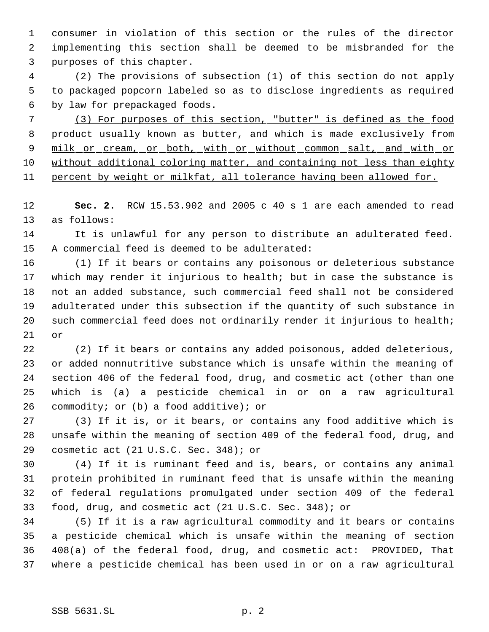consumer in violation of this section or the rules of the director implementing this section shall be deemed to be misbranded for the purposes of this chapter.

 (2) The provisions of subsection (1) of this section do not apply to packaged popcorn labeled so as to disclose ingredients as required by law for prepackaged foods.

 (3) For purposes of this section, "butter" is defined as the food 8 product usually known as butter, and which is made exclusively from 9 milk or cream, or both, with or without common salt, and with or without additional coloring matter, and containing not less than eighty 11 percent by weight or milkfat, all tolerance having been allowed for.

 **Sec. 2.** RCW 15.53.902 and 2005 c 40 s 1 are each amended to read as follows:

 It is unlawful for any person to distribute an adulterated feed. A commercial feed is deemed to be adulterated:

 (1) If it bears or contains any poisonous or deleterious substance which may render it injurious to health; but in case the substance is not an added substance, such commercial feed shall not be considered adulterated under this subsection if the quantity of such substance in 20 such commercial feed does not ordinarily render it injurious to health; or

 (2) If it bears or contains any added poisonous, added deleterious, or added nonnutritive substance which is unsafe within the meaning of section 406 of the federal food, drug, and cosmetic act (other than one which is (a) a pesticide chemical in or on a raw agricultural commodity; or (b) a food additive); or

 (3) If it is, or it bears, or contains any food additive which is unsafe within the meaning of section 409 of the federal food, drug, and cosmetic act (21 U.S.C. Sec. 348); or

 (4) If it is ruminant feed and is, bears, or contains any animal protein prohibited in ruminant feed that is unsafe within the meaning of federal regulations promulgated under section 409 of the federal food, drug, and cosmetic act (21 U.S.C. Sec. 348); or

 (5) If it is a raw agricultural commodity and it bears or contains a pesticide chemical which is unsafe within the meaning of section 408(a) of the federal food, drug, and cosmetic act: PROVIDED, That where a pesticide chemical has been used in or on a raw agricultural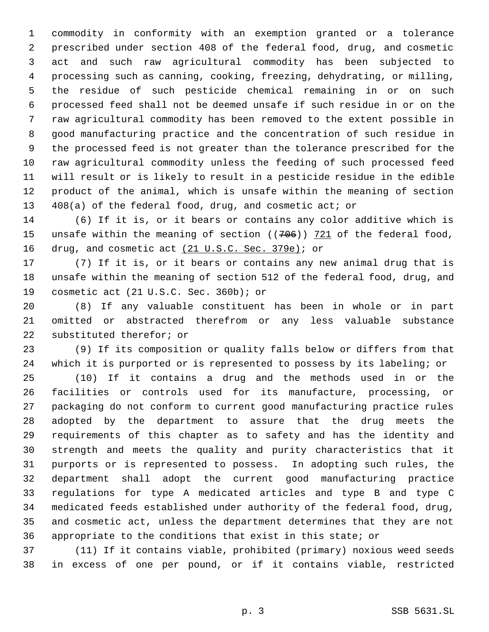commodity in conformity with an exemption granted or a tolerance prescribed under section 408 of the federal food, drug, and cosmetic act and such raw agricultural commodity has been subjected to processing such as canning, cooking, freezing, dehydrating, or milling, the residue of such pesticide chemical remaining in or on such processed feed shall not be deemed unsafe if such residue in or on the raw agricultural commodity has been removed to the extent possible in good manufacturing practice and the concentration of such residue in the processed feed is not greater than the tolerance prescribed for the raw agricultural commodity unless the feeding of such processed feed will result or is likely to result in a pesticide residue in the edible product of the animal, which is unsafe within the meaning of section 408(a) of the federal food, drug, and cosmetic act; or

 (6) If it is, or it bears or contains any color additive which is 15 unsafe within the meaning of section ((706)) 721 of the federal food, 16 drug, and cosmetic act (21 U.S.C. Sec. 379e); or

 (7) If it is, or it bears or contains any new animal drug that is unsafe within the meaning of section 512 of the federal food, drug, and cosmetic act (21 U.S.C. Sec. 360b); or

 (8) If any valuable constituent has been in whole or in part omitted or abstracted therefrom or any less valuable substance substituted therefor; or

 (9) If its composition or quality falls below or differs from that which it is purported or is represented to possess by its labeling; or

 (10) If it contains a drug and the methods used in or the facilities or controls used for its manufacture, processing, or packaging do not conform to current good manufacturing practice rules adopted by the department to assure that the drug meets the requirements of this chapter as to safety and has the identity and strength and meets the quality and purity characteristics that it purports or is represented to possess. In adopting such rules, the department shall adopt the current good manufacturing practice regulations for type A medicated articles and type B and type C medicated feeds established under authority of the federal food, drug, and cosmetic act, unless the department determines that they are not appropriate to the conditions that exist in this state; or

 (11) If it contains viable, prohibited (primary) noxious weed seeds in excess of one per pound, or if it contains viable, restricted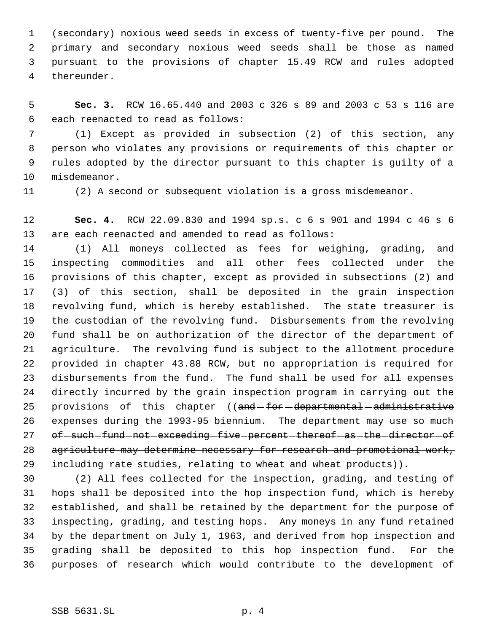(secondary) noxious weed seeds in excess of twenty-five per pound. The primary and secondary noxious weed seeds shall be those as named pursuant to the provisions of chapter 15.49 RCW and rules adopted thereunder.

 **Sec. 3.** RCW 16.65.440 and 2003 c 326 s 89 and 2003 c 53 s 116 are each reenacted to read as follows:

 (1) Except as provided in subsection (2) of this section, any person who violates any provisions or requirements of this chapter or rules adopted by the director pursuant to this chapter is guilty of a misdemeanor.

(2) A second or subsequent violation is a gross misdemeanor.

 **Sec. 4.** RCW 22.09.830 and 1994 sp.s. c 6 s 901 and 1994 c 46 s 6 are each reenacted and amended to read as follows:

 (1) All moneys collected as fees for weighing, grading, and inspecting commodities and all other fees collected under the provisions of this chapter, except as provided in subsections (2) and (3) of this section, shall be deposited in the grain inspection revolving fund, which is hereby established. The state treasurer is the custodian of the revolving fund. Disbursements from the revolving fund shall be on authorization of the director of the department of agriculture. The revolving fund is subject to the allotment procedure provided in chapter 43.88 RCW, but no appropriation is required for disbursements from the fund. The fund shall be used for all expenses directly incurred by the grain inspection program in carrying out the 25 provisions of this chapter ((and-for-departmental-administrative expenses during the 1993-95 biennium. The department may use so much 27 of -such -fund -not -exceeding five percent thereof as the director of 28 agriculture may determine necessary for research and promotional work, 29 including rate studies, relating to wheat and wheat products)).

 (2) All fees collected for the inspection, grading, and testing of hops shall be deposited into the hop inspection fund, which is hereby established, and shall be retained by the department for the purpose of inspecting, grading, and testing hops. Any moneys in any fund retained by the department on July 1, 1963, and derived from hop inspection and grading shall be deposited to this hop inspection fund. For the purposes of research which would contribute to the development of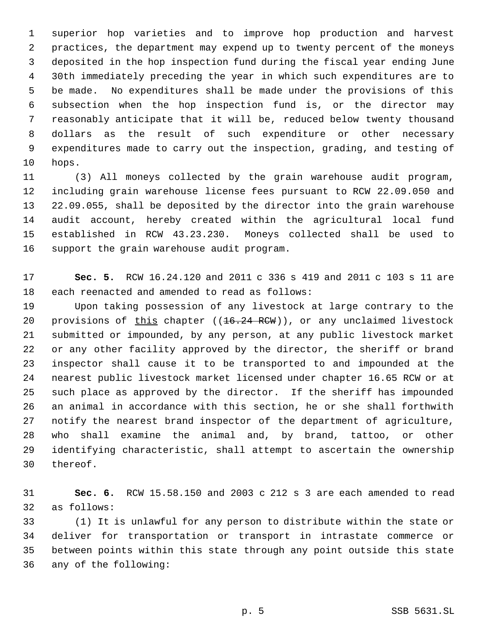superior hop varieties and to improve hop production and harvest practices, the department may expend up to twenty percent of the moneys deposited in the hop inspection fund during the fiscal year ending June 30th immediately preceding the year in which such expenditures are to be made. No expenditures shall be made under the provisions of this subsection when the hop inspection fund is, or the director may reasonably anticipate that it will be, reduced below twenty thousand dollars as the result of such expenditure or other necessary expenditures made to carry out the inspection, grading, and testing of hops.

 (3) All moneys collected by the grain warehouse audit program, including grain warehouse license fees pursuant to RCW 22.09.050 and 22.09.055, shall be deposited by the director into the grain warehouse audit account, hereby created within the agricultural local fund established in RCW 43.23.230. Moneys collected shall be used to support the grain warehouse audit program.

 **Sec. 5.** RCW 16.24.120 and 2011 c 336 s 419 and 2011 c 103 s 11 are each reenacted and amended to read as follows:

 Upon taking possession of any livestock at large contrary to the 20 provisions of this chapter ((16.24 RCW)), or any unclaimed livestock submitted or impounded, by any person, at any public livestock market or any other facility approved by the director, the sheriff or brand inspector shall cause it to be transported to and impounded at the nearest public livestock market licensed under chapter 16.65 RCW or at such place as approved by the director. If the sheriff has impounded an animal in accordance with this section, he or she shall forthwith notify the nearest brand inspector of the department of agriculture, who shall examine the animal and, by brand, tattoo, or other identifying characteristic, shall attempt to ascertain the ownership thereof.

 **Sec. 6.** RCW 15.58.150 and 2003 c 212 s 3 are each amended to read as follows:

 (1) It is unlawful for any person to distribute within the state or deliver for transportation or transport in intrastate commerce or between points within this state through any point outside this state any of the following: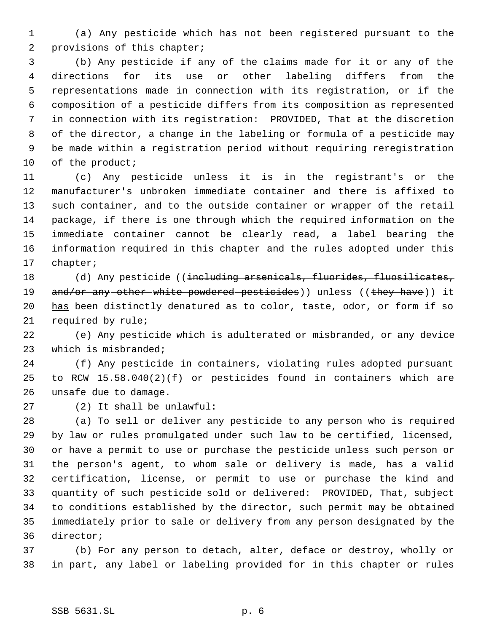(a) Any pesticide which has not been registered pursuant to the provisions of this chapter;

 (b) Any pesticide if any of the claims made for it or any of the directions for its use or other labeling differs from the representations made in connection with its registration, or if the composition of a pesticide differs from its composition as represented in connection with its registration: PROVIDED, That at the discretion of the director, a change in the labeling or formula of a pesticide may be made within a registration period without requiring reregistration 10 of the product;

 (c) Any pesticide unless it is in the registrant's or the manufacturer's unbroken immediate container and there is affixed to such container, and to the outside container or wrapper of the retail package, if there is one through which the required information on the immediate container cannot be clearly read, a label bearing the information required in this chapter and the rules adopted under this chapter;

18 (d) Any pesticide ((<del>including arsenicals, fluorides, fluosilicates,</del> 19 and/or any other white powdered pesticides)) unless ((they have)) it 20 has been distinctly denatured as to color, taste, odor, or form if so required by rule;

 (e) Any pesticide which is adulterated or misbranded, or any device which is misbranded;

 (f) Any pesticide in containers, violating rules adopted pursuant to RCW 15.58.040(2)(f) or pesticides found in containers which are unsafe due to damage.

(2) It shall be unlawful:

 (a) To sell or deliver any pesticide to any person who is required by law or rules promulgated under such law to be certified, licensed, or have a permit to use or purchase the pesticide unless such person or the person's agent, to whom sale or delivery is made, has a valid certification, license, or permit to use or purchase the kind and quantity of such pesticide sold or delivered: PROVIDED, That, subject to conditions established by the director, such permit may be obtained immediately prior to sale or delivery from any person designated by the director;

 (b) For any person to detach, alter, deface or destroy, wholly or in part, any label or labeling provided for in this chapter or rules